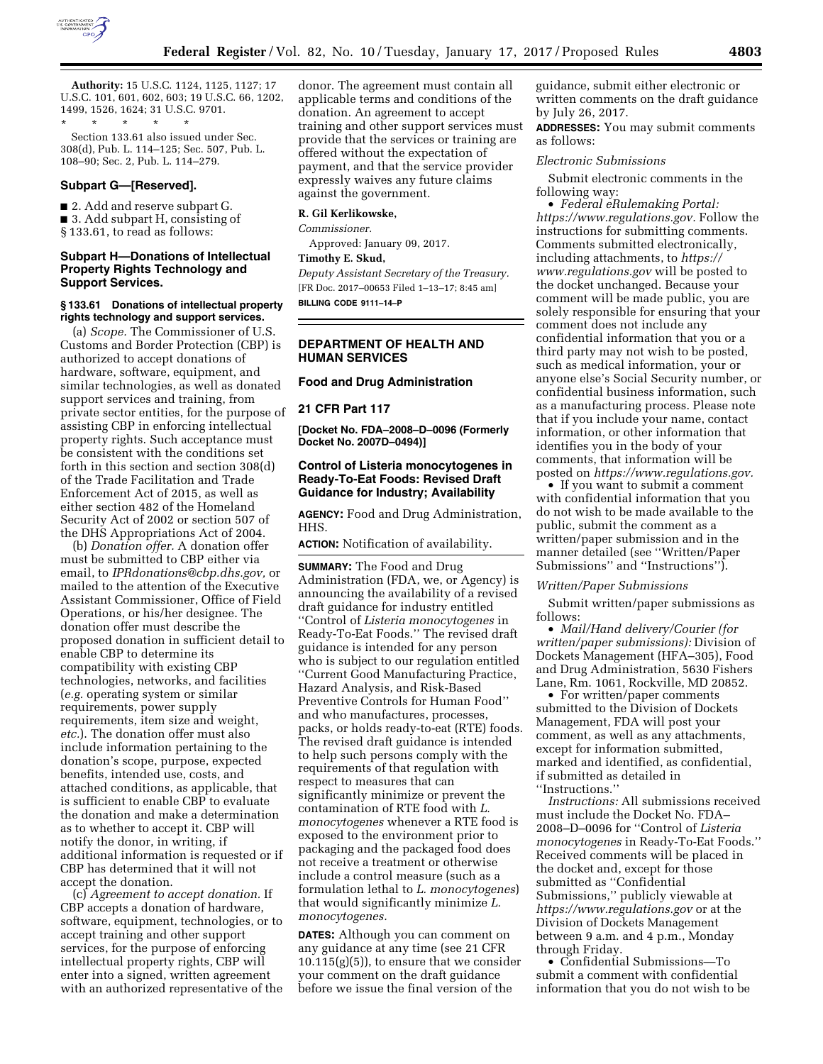

**Authority:** 15 U.S.C. 1124, 1125, 1127; 17 U.S.C. 101, 601, 602, 603; 19 U.S.C. 66, 1202, 1499, 1526, 1624; 31 U.S.C. 9701.

\* \* \* \* \* Section 133.61 also issued under Sec. 308(d), Pub. L. 114–125; Sec. 507, Pub. L. 108–90; Sec. 2, Pub. L. 114–279.

# **Subpart G—[Reserved].**

■ 2. Add and reserve subpart G. ■ 3. Add subpart H, consisting of § 133.61, to read as follows:

## **Subpart H—Donations of Intellectual Property Rights Technology and Support Services.**

#### **§ 133.61 Donations of intellectual property rights technology and support services.**

(a) *Scope.* The Commissioner of U.S. Customs and Border Protection (CBP) is authorized to accept donations of hardware, software, equipment, and similar technologies, as well as donated support services and training, from private sector entities, for the purpose of assisting CBP in enforcing intellectual property rights. Such acceptance must be consistent with the conditions set forth in this section and section 308(d) of the Trade Facilitation and Trade Enforcement Act of 2015, as well as either section 482 of the Homeland Security Act of 2002 or section 507 of the DHS Appropriations Act of 2004.

(b) *Donation offer.* A donation offer must be submitted to CBP either via email, to *[IPRdonations@cbp.dhs.gov,](mailto:IPRdonations@cbp.dhs.gov)* or mailed to the attention of the Executive Assistant Commissioner, Office of Field Operations, or his/her designee. The donation offer must describe the proposed donation in sufficient detail to enable CBP to determine its compatibility with existing CBP technologies, networks, and facilities (*e.g.* operating system or similar requirements, power supply requirements, item size and weight, *etc.*). The donation offer must also include information pertaining to the donation's scope, purpose, expected benefits, intended use, costs, and attached conditions, as applicable, that is sufficient to enable CBP to evaluate the donation and make a determination as to whether to accept it. CBP will notify the donor, in writing, if additional information is requested or if CBP has determined that it will not accept the donation.

(c) *Agreement to accept donation.* If CBP accepts a donation of hardware, software, equipment, technologies, or to accept training and other support services, for the purpose of enforcing intellectual property rights, CBP will enter into a signed, written agreement with an authorized representative of the donor. The agreement must contain all applicable terms and conditions of the donation. An agreement to accept training and other support services must provide that the services or training are offered without the expectation of payment, and that the service provider expressly waives any future claims against the government.

#### **R. Gil Kerlikowske,**

*Commissioner.* 

Approved: January 09, 2017.

**Timothy E. Skud,** 

*Deputy Assistant Secretary of the Treasury.*  [FR Doc. 2017–00653 Filed 1–13–17; 8:45 am] **BILLING CODE 9111–14–P** 

**DEPARTMENT OF HEALTH AND HUMAN SERVICES** 

#### **Food and Drug Administration**

**21 CFR Part 117** 

**[Docket No. FDA–2008–D–0096 (Formerly Docket No. 2007D–0494)]** 

## **Control of Listeria monocytogenes in Ready-To-Eat Foods: Revised Draft Guidance for Industry; Availability**

**AGENCY:** Food and Drug Administration, HHS.

**ACTION:** Notification of availability.

**SUMMARY:** The Food and Drug Administration (FDA, we, or Agency) is announcing the availability of a revised draft guidance for industry entitled ''Control of *Listeria monocytogenes* in Ready-To-Eat Foods.'' The revised draft guidance is intended for any person who is subject to our regulation entitled ''Current Good Manufacturing Practice, Hazard Analysis, and Risk-Based Preventive Controls for Human Food'' and who manufactures, processes, packs, or holds ready-to-eat (RTE) foods. The revised draft guidance is intended to help such persons comply with the requirements of that regulation with respect to measures that can significantly minimize or prevent the contamination of RTE food with *L. monocytogenes* whenever a RTE food is exposed to the environment prior to packaging and the packaged food does not receive a treatment or otherwise include a control measure (such as a formulation lethal to *L. monocytogenes*) that would significantly minimize *L. monocytogenes.* 

**DATES:** Although you can comment on any guidance at any time (see 21 CFR 10.115(g)(5)), to ensure that we consider your comment on the draft guidance before we issue the final version of the

guidance, submit either electronic or written comments on the draft guidance by July 26, 2017.

**ADDRESSES:** You may submit comments as follows:

#### *Electronic Submissions*

Submit electronic comments in the following way:

• *Federal eRulemaking Portal: [https://www.regulations.gov.](https://www.regulations.gov)* Follow the instructions for submitting comments. Comments submitted electronically, including attachments, to *[https://](https://www.regulations.gov) [www.regulations.gov](https://www.regulations.gov)* will be posted to the docket unchanged. Because your comment will be made public, you are solely responsible for ensuring that your comment does not include any confidential information that you or a third party may not wish to be posted, such as medical information, your or anyone else's Social Security number, or confidential business information, such as a manufacturing process. Please note that if you include your name, contact information, or other information that identifies you in the body of your comments, that information will be posted on *[https://www.regulations.gov.](https://www.regulations.gov)* 

• If you want to submit a comment with confidential information that you do not wish to be made available to the public, submit the comment as a written/paper submission and in the manner detailed (see ''Written/Paper Submissions'' and ''Instructions'').

## *Written/Paper Submissions*

Submit written/paper submissions as follows:

• *Mail/Hand delivery/Courier (for written/paper submissions):* Division of Dockets Management (HFA–305), Food and Drug Administration, 5630 Fishers Lane, Rm. 1061, Rockville, MD 20852.

• For written/paper comments submitted to the Division of Dockets Management, FDA will post your comment, as well as any attachments, except for information submitted, marked and identified, as confidential, if submitted as detailed in ''Instructions.''

*Instructions:* All submissions received must include the Docket No. FDA– 2008–D–0096 for ''Control of *Listeria monocytogenes* in Ready-To-Eat Foods.'' Received comments will be placed in the docket and, except for those submitted as ''Confidential Submissions,'' publicly viewable at *<https://www.regulations.gov>* or at the Division of Dockets Management between 9 a.m. and 4 p.m., Monday through Friday.

• Confidential Submissions—To submit a comment with confidential information that you do not wish to be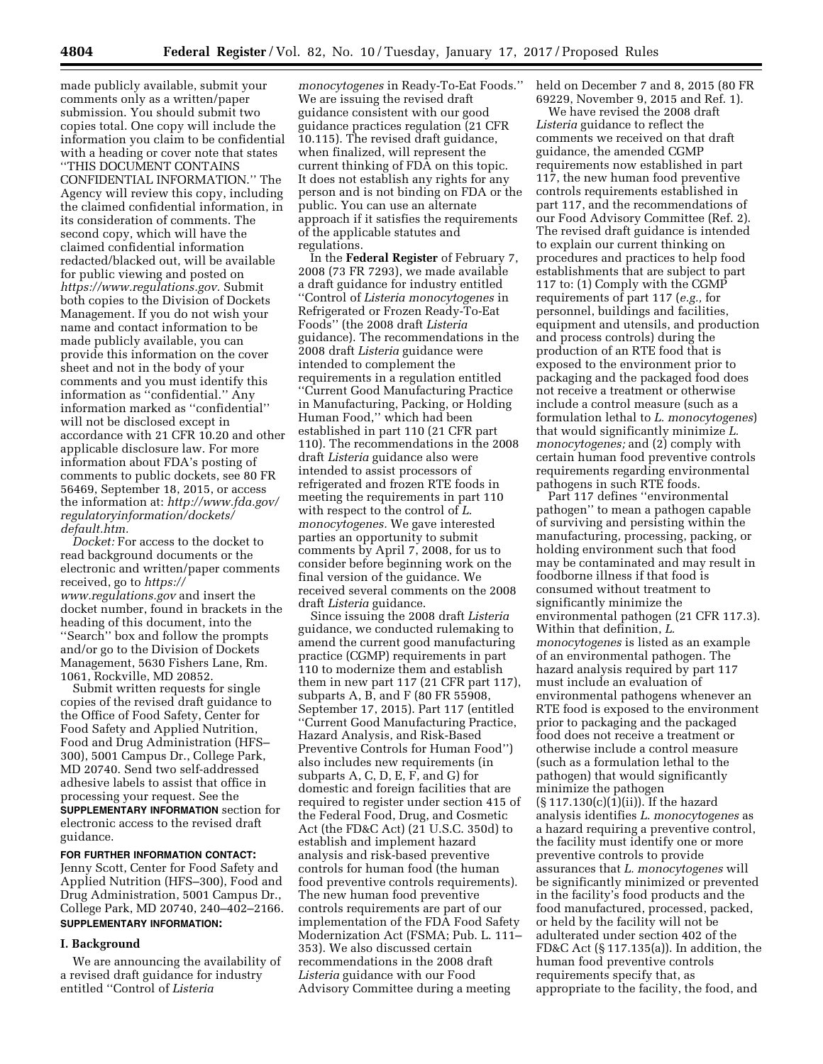made publicly available, submit your comments only as a written/paper submission. You should submit two copies total. One copy will include the information you claim to be confidential with a heading or cover note that states ''THIS DOCUMENT CONTAINS CONFIDENTIAL INFORMATION.'' The Agency will review this copy, including the claimed confidential information, in its consideration of comments. The second copy, which will have the claimed confidential information redacted/blacked out, will be available for public viewing and posted on *[https://www.regulations.gov.](https://www.regulations.gov)* Submit both copies to the Division of Dockets Management. If you do not wish your name and contact information to be made publicly available, you can provide this information on the cover sheet and not in the body of your comments and you must identify this information as ''confidential.'' Any information marked as ''confidential'' will not be disclosed except in accordance with 21 CFR 10.20 and other applicable disclosure law. For more information about FDA's posting of comments to public dockets, see 80 FR 56469, September 18, 2015, or access the information at: *[http://www.fda.gov/](http://www.fda.gov/regulatoryinformation/dockets/default.htm)  [regulatoryinformation/dockets/](http://www.fda.gov/regulatoryinformation/dockets/default.htm)  [default.htm.](http://www.fda.gov/regulatoryinformation/dockets/default.htm)* 

*Docket:* For access to the docket to read background documents or the electronic and written/paper comments received, go to *[https://](https://www.regulations.gov) [www.regulations.gov](https://www.regulations.gov)* and insert the docket number, found in brackets in the heading of this document, into the ''Search'' box and follow the prompts and/or go to the Division of Dockets Management, 5630 Fishers Lane, Rm. 1061, Rockville, MD 20852.

Submit written requests for single copies of the revised draft guidance to the Office of Food Safety, Center for Food Safety and Applied Nutrition, Food and Drug Administration (HFS– 300), 5001 Campus Dr., College Park, MD 20740. Send two self-addressed adhesive labels to assist that office in processing your request. See the **SUPPLEMENTARY INFORMATION** section for electronic access to the revised draft guidance.

## **FOR FURTHER INFORMATION CONTACT:**

Jenny Scott, Center for Food Safety and Applied Nutrition (HFS–300), Food and Drug Administration, 5001 Campus Dr., College Park, MD 20740, 240–402–2166. **SUPPLEMENTARY INFORMATION:** 

## **I. Background**

We are announcing the availability of a revised draft guidance for industry entitled ''Control of *Listeria* 

*monocytogenes* in Ready-To-Eat Foods.'' We are issuing the revised draft guidance consistent with our good guidance practices regulation (21 CFR 10.115). The revised draft guidance, when finalized, will represent the current thinking of FDA on this topic. It does not establish any rights for any person and is not binding on FDA or the public. You can use an alternate approach if it satisfies the requirements of the applicable statutes and regulations.

In the **Federal Register** of February 7, 2008 (73 FR 7293), we made available a draft guidance for industry entitled ''Control of *Listeria monocytogenes* in Refrigerated or Frozen Ready-To-Eat Foods'' (the 2008 draft *Listeria*  guidance). The recommendations in the 2008 draft *Listeria* guidance were intended to complement the requirements in a regulation entitled ''Current Good Manufacturing Practice in Manufacturing, Packing, or Holding Human Food,'' which had been established in part 110 (21 CFR part 110). The recommendations in the 2008 draft *Listeria* guidance also were intended to assist processors of refrigerated and frozen RTE foods in meeting the requirements in part 110 with respect to the control of *L. monocytogenes.* We gave interested parties an opportunity to submit comments by April 7, 2008, for us to consider before beginning work on the final version of the guidance. We received several comments on the 2008 draft *Listeria* guidance.

Since issuing the 2008 draft *Listeria*  guidance, we conducted rulemaking to amend the current good manufacturing practice (CGMP) requirements in part 110 to modernize them and establish them in new part 117 (21 CFR part 117), subparts A, B, and F (80 FR 55908, September 17, 2015). Part 117 (entitled ''Current Good Manufacturing Practice, Hazard Analysis, and Risk-Based Preventive Controls for Human Food'') also includes new requirements (in subparts A, C, D, E, F, and G) for domestic and foreign facilities that are required to register under section 415 of the Federal Food, Drug, and Cosmetic Act (the FD&C Act) (21 U.S.C. 350d) to establish and implement hazard analysis and risk-based preventive controls for human food (the human food preventive controls requirements). The new human food preventive controls requirements are part of our implementation of the FDA Food Safety Modernization Act (FSMA; Pub. L. 111– 353). We also discussed certain recommendations in the 2008 draft *Listeria* guidance with our Food Advisory Committee during a meeting

held on December 7 and 8, 2015 (80 FR 69229, November 9, 2015 and Ref. 1).

We have revised the 2008 draft *Listeria* guidance to reflect the comments we received on that draft guidance, the amended CGMP requirements now established in part 117, the new human food preventive controls requirements established in part 117, and the recommendations of our Food Advisory Committee (Ref. 2). The revised draft guidance is intended to explain our current thinking on procedures and practices to help food establishments that are subject to part 117 to: (1) Comply with the CGMP requirements of part 117 (*e.g.,* for personnel, buildings and facilities, equipment and utensils, and production and process controls) during the production of an RTE food that is exposed to the environment prior to packaging and the packaged food does not receive a treatment or otherwise include a control measure (such as a formulation lethal to *L. monocytogenes*) that would significantly minimize *L. monocytogenes;* and (2) comply with certain human food preventive controls requirements regarding environmental pathogens in such RTE foods.

Part 117 defines ''environmental pathogen'' to mean a pathogen capable of surviving and persisting within the manufacturing, processing, packing, or holding environment such that food may be contaminated and may result in foodborne illness if that food is consumed without treatment to significantly minimize the environmental pathogen (21 CFR 117.3). Within that definition, *L. monocytogenes* is listed as an example of an environmental pathogen. The hazard analysis required by part 117 must include an evaluation of environmental pathogens whenever an RTE food is exposed to the environment prior to packaging and the packaged food does not receive a treatment or otherwise include a control measure (such as a formulation lethal to the pathogen) that would significantly minimize the pathogen (§ 117.130(c)(1)(ii)). If the hazard analysis identifies *L. monocytogenes* as a hazard requiring a preventive control, the facility must identify one or more preventive controls to provide assurances that *L. monocytogenes* will be significantly minimized or prevented in the facility's food products and the food manufactured, processed, packed, or held by the facility will not be adulterated under section 402 of the FD&C Act (§ 117.135(a)). In addition, the human food preventive controls requirements specify that, as appropriate to the facility, the food, and